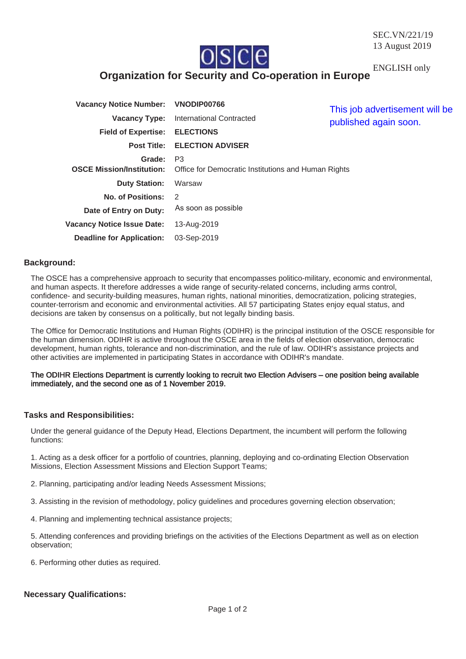

ENGLISH only

# **Organization for Security and Co-operation in Europe**

| Vacancy Notice Number: VNODIP00766 |                                                                                                        | This job advertisement will be<br>published again soon. |
|------------------------------------|--------------------------------------------------------------------------------------------------------|---------------------------------------------------------|
| <b>Vacancy Type:</b>               | <b>International Contracted</b>                                                                        |                                                         |
| <b>Field of Expertise:</b>         | <b>ELECTIONS</b>                                                                                       |                                                         |
|                                    | <b>Post Title: ELECTION ADVISER</b>                                                                    |                                                         |
| Grade:                             | P <sub>3</sub><br><b>OSCE Mission/Institution:</b> Office for Democratic Institutions and Human Rights |                                                         |
| <b>Duty Station:</b>               | Warsaw                                                                                                 |                                                         |
| <b>No. of Positions:</b>           | 2                                                                                                      |                                                         |
| Date of Entry on Duty:             | As soon as possible                                                                                    |                                                         |
| <b>Vacancy Notice Issue Date:</b>  | 13-Aug-2019                                                                                            |                                                         |
| <b>Deadline for Application:</b>   | 03-Sep-2019                                                                                            |                                                         |

## **Background:**

The OSCE has a comprehensive approach to security that encompasses politico-military, economic and environmental, and human aspects. It therefore addresses a wide range of security-related concerns, including arms control, confidence- and security-building measures, human rights, national minorities, democratization, policing strategies, counter-terrorism and economic and environmental activities. All 57 participating States enjoy equal status, and decisions are taken by consensus on a politically, but not legally binding basis.

The Office for Democratic Institutions and Human Rights (ODIHR) is the principal institution of the OSCE responsible for the human dimension. ODIHR is active throughout the OSCE area in the fields of election observation, democratic development, human rights, tolerance and non-discrimination, and the rule of law. ODIHR's assistance projects and other activities are implemented in participating States in accordance with ODIHR's mandate.

#### The ODIHR Elections Department is currently looking to recruit two Election Advisers – one position being available immediately, and the second one as of 1 November 2019.

# **Tasks and Responsibilities:**

Under the general guidance of the Deputy Head, Elections Department, the incumbent will perform the following functions:

1. Acting as a desk officer for a portfolio of countries, planning, deploying and co-ordinating Election Observation Missions, Election Assessment Missions and Election Support Teams;

- 2. Planning, participating and/or leading Needs Assessment Missions;
- 3. Assisting in the revision of methodology, policy guidelines and procedures governing election observation;
- 4. Planning and implementing technical assistance projects;

5. Attending conferences and providing briefings on the activities of the Elections Department as well as on election observation;

6. Performing other duties as required.

### **Necessary Qualifications:**